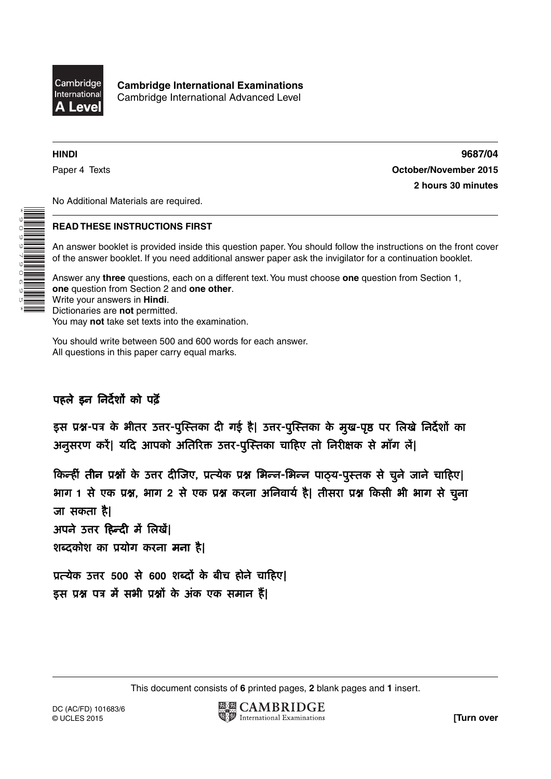

\*9099790695\*

**HINDI 9687/04** Paper 4 Texts **October/November 2015 2 hours 30 minutes**

No Additional Materials are required.

## **READ THESE INSTRUCTIONS FIRST**

An answer booklet is provided inside this question paper. You should follow the instructions on the front cover of the answer booklet. If you need additional answer paper ask the invigilator for a continuation booklet.

Answer any **three** questions, each on a different text. You must choose **one** question from Section 1, **one** question from Section 2 and **one other**. Write your answers in **Hindi**. Dictionaries are **not** permitted. You may **not** take set texts into the examination.

You should write between 500 and 600 words for each answer. All questions in this paper carry equal marks.

# पहले इन निर्देशों को पढ़ें

इस प्रश्न-पत्र के भीतर उत्तर-पुस्तिका दी गई है| उत्तर-पुस्तिका के मुख-पृष्ठ पर लिखे निर्देशों का अनुसरण करें| यदि आपको अतिरिक्त उत्तर-पुस्तिका चाहिए तो निरीक्षक से माँग लें|

किन्हीं तीन प्रश्नों के उत्तर दीजिए, प्रत्येक प्रश्न भिन्न-भिन्न पाठ्य-पुस्तक से चूने जाने चाहिए। भाग 1 से एक प्रश्न, भाग 2 से एक प्रश्न करना अनिवार्य है। तीसरा प्रश्न किसी भी भाग से चुना जा सकता है। अपने उत्तर हिन्दी में लिखें।

शब्दकोश का प्रयोग करना मना है।

प्रत्येक उत्तर 500 से 600 शब्दों के बीच होने चाहिए। डस प्रश्न पत्र में सभी प्रश्नों के अंक एक समान हैं।

This document consists of **6** printed pages, **2** blank pages and **1** insert.

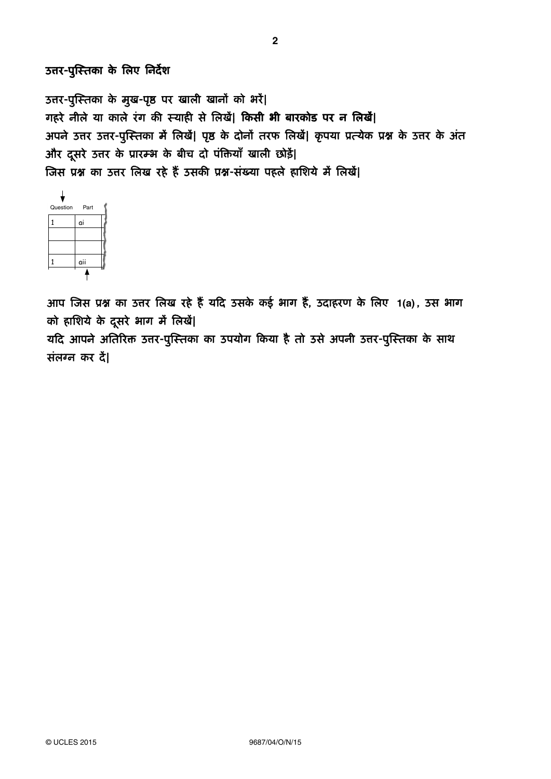## उत्तर-पुस्तिका के लिए निर्देश

उत्तर-पुस्तिका के मुख-पृष्ठ पर खाली खानों को भरें। गहरे नीले या काले रंग की स्याही से लिखें| किसी भी बारकोड पर न लिखें| अपने उत्तर उत्तर-पुस्तिका में लिखें| पृष्ठ के दोनों तरफ लिखें| कृपया प्रत्येक प्रश्न के उत्तर के अंत और दूसरे उत्तर के प्रारम्भ के बीच दो पंक्तियाँ खाली छोड़ें| जिस प्रश्न का उत्तर लिख रहे हैं उसकी प्रश्न-संख्या पहले हाशिये में लिखें।



आप जिस प्रश्न का उत्तर लिख रहे हैं यदि उसके कई भाग हैं, उदाहरण के लिए 1(a), उस भाग को हाशिये के दूसरे भाग में लिखें| यदि आपने अतिरिक्त उत्तर-पुस्तिका का उपयोग किया है तो उसे अपनी उत्तर-पुस्तिका के साथ संलग्न कर दें।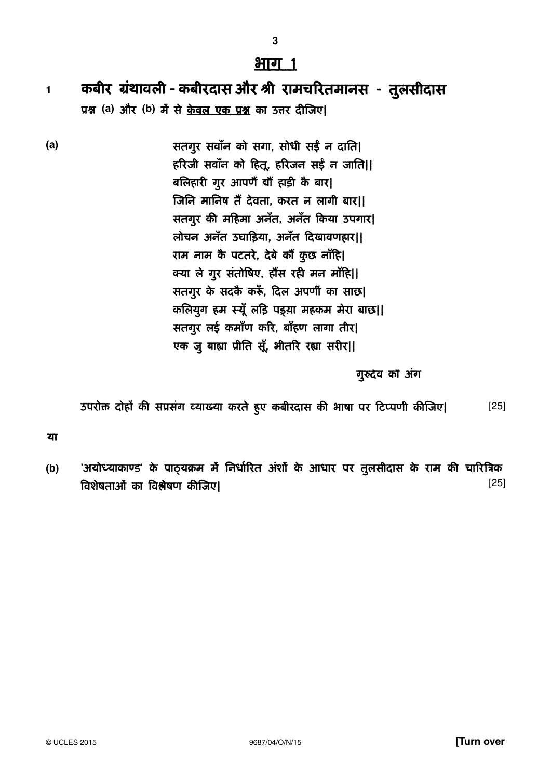## भाग १

**3**

| $\mathbf 1$ | कबीर ग्रंथावली - कबीरदास और श्री रामचरितमानस - तुलसीदास        |
|-------------|----------------------------------------------------------------|
|             | प्रश्न (a) और (b) में से <u>केवल एक प्रश्न</u> का उत्तर दीजिए। |
| (a)         | सतगुर सवाँन को सगा, सोधी सईं न दाति                            |

हरिजी सवाँन को हितू, हरिजन सईं न जाति।। बलिहारी गूर आपणें यौं हाड़ी कै बार। जिनि मानिष तैं देवता. करत न लागी बार।। सतगर की महिमा अनँत, अनँत किया उपगार। लोचन अनॅंत उघाड़िया, अनॅंत दिखावणहार।। राम नाम कै पटतरे, देबे को कुछ नाँहि। क्या ले गुर संतोषिए, हौंस रही मन माँहि।। सतगूर के सदके करूँ, दिल अपर्णी का साछ| कलियुग हम स्यूँ लड़ि पड़य़ा महकम मेरा बाछ।। सतगुर लई कमाँण करि, बाँहण लागा तीर। एक जू बाह्या प्रीति सूँ, भीतरि रह्या सरीर||

गुरुदेव को अंग

उपरोक्त दोहों की सप्रसंग व्याख्या करते हुए कबीरदास की भाषा पर टिप्पणी कीजिए| [25]

या

'अयोध्याकाण्ड' के पाठ्यक्रम में निर्धारित अंशों के आधार पर तुलसीदास के राम की चारित्रिक **(b)** विशेषताओं का विश्लेषण कीजिए। [25]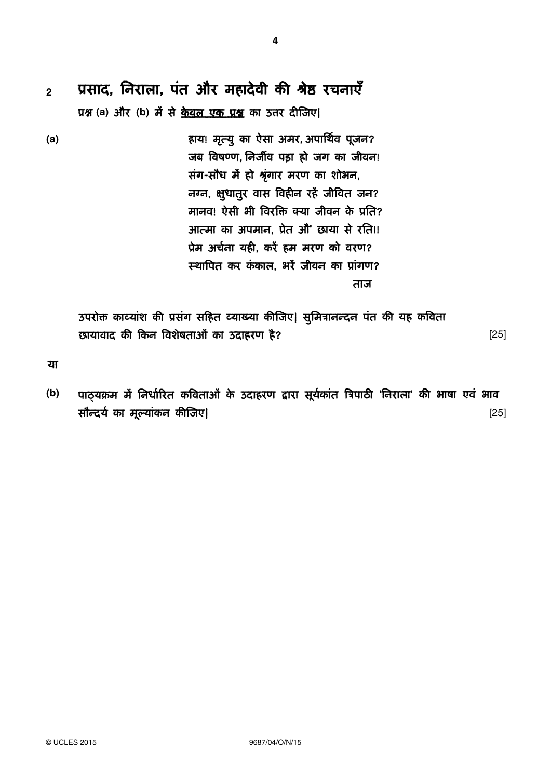### प्रसाद, निराला, पंत और महादेवी की श्रेष्ठ रचनाएँ **2**

प्रश्न (a) और (b) में से केवल एक प्रश्न का उत्तर दीजिए।

हाय! मृत्यु का ऐसा अमर, अपार्थिव पूजन? **(a)** जब विषण्ण, निर्जीव पड़ा हो जग का जीवन! संग-सौध में हो श्रृंगार मरण का शोभन, नग्न, क्षुधातुर वास विहीन रहें जीवित जन? मानव! ऐसी भी विरक्ति क्या जीवन के प्रति? आत्मा का अपमान, प्रेत औ' छाया से रति!! प्रेम अर्चना यही, करें हम मरण को वरण? स्थापित कर कंकाल, भरें जीवन का प्रांगण? ताज

उपरोक्त काव्यांश की प्रसंग सहित व्याख्या कीजिए सुमित्रानन्दन पंत की यह कविता छायावाद की किन विशेषताओं का उदाहरण है?

[25]

या

**(b)** पाठ्यक्रम में निर्धारित कविताओं के उदाहरण द्वारा सूर्यकांत त्रिपाठी 'निराला' की भाषा एवं भाव सौन्दर्य का मूल्यांकन कीजिए| [25]

**4**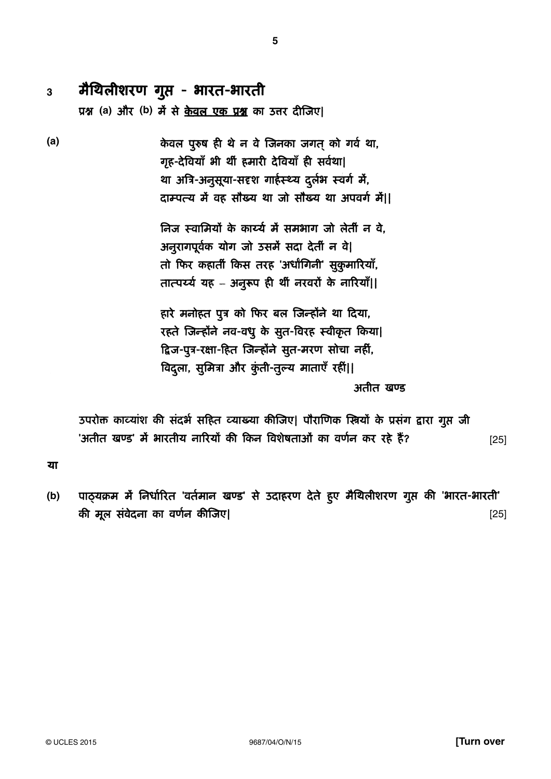#### मैथिलीशरण गुप्त - भारत-भारती **3**

प्रश्न (a) और (b) में से केवल एक प्रश्न का उत्तर दीजिए।

केवल पुरुष ही थे न वे जिनका जगत को गर्व था, गृह-देवियाँ भी थीं हमारी देवियाँ ही सर्वथा। था अत्रि-अनुसूया-सदृश गार्हस्थ्य दुर्लभ स्वर्ग में, दाम्पत्य में वह सौख्य था जो सौख्य था अपवर्ग में।।

> निज स्वामियों के कार्य्य में समभाग जो लेतीं न वे. अनुरागपूर्वक योग जो उसमें सदा देतीं न वे| तो फिर कहातीं किस तरह 'अर्धांगिनी' सुकुमारियाँ, तात्पर्य्य यह - अनुरूप ही थीं नरवरों के नारियाँ||

**5**

हारे मनोहत पुत्र को फिर बल जिन्होंने था दिया, रहते जिन्होंने नव-वधु के सूत-विरह स्वीकृत किया| द्विज-पूत्र-रक्षा-हित जिन्होंने सुत-मरण सोचा नहीं, विद्ला, सुमित्रा और कुंती-तुल्य माताएँ रहीं।

अतीत खण्ड

उपरोक्त काव्यांश की संदर्भ सहित व्याख्या कीजिए। पौराणिक स्त्रियों के प्रसंग द्वारा गुप्त जी 'अतीत खण्ड' में भारतीय नारियों की किन विशेषताओं का वर्णन कर रहे हैं? [25]

या

**(a)**

पाठ्यक्रम में निर्धारित 'वर्तमान खण्ड' से उदाहरण देते हुए मैथिलीशरण गुप्त की 'भारत-भारती' **(b)** की मूल संवेदना का वर्णन कीजिए। [25]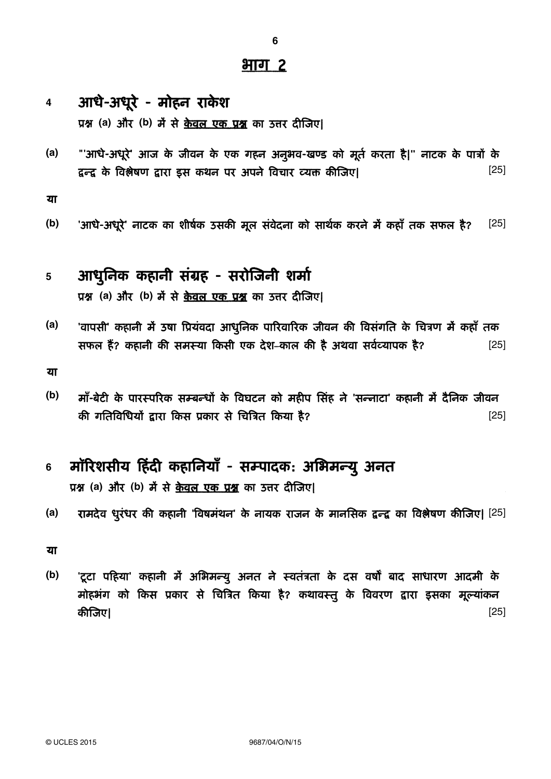## भाग २

- आधे-अधूरे मोहन राकेश **4** प्रश्न (a) और (b) में से केवल एक प्रश्न का उत्तर दीजिए।
- "'आधे-अधूरे' आज के जीवन के एक गहन अनुभव-खण्ड को मूर्त करता है|" नाटक के पात्रों के **(a)** [25] द्वन्द्व के विश्लेषण द्वारा इस कथन पर अपने विचार व्यक्त कीजिए।

या

(b) 'आधे-अधूरे' नाटक का शीर्षक उसकी मूल संवेदना को सार्थक करने में कहाँ तक सफल है? [<sup>25]</sup>

#### आधुनिक कहानी संग्रह - सरोजिनी शर्मा **5**

प्रश्न (a) और (b) में से केवल एक प्रश्न का उत्तर दीजिए।

'वापसी' कहानी में उषा प्रियंवदा आधुनिक पारिवारिक जीवन की विसंगति के चित्रण में कहाँ तक **(a)** सफल हैं? कहानी की समस्या किसी एक देश-काल की है अथवा सर्वव्यापक है? [25]

या

- **(b)** माँ-बेटी के पारस्परिक सम्बन्धों के विघटन को महीप सिंह ने 'सन्नाटा' कहानी में दैनिक जीवन की गतिविधियों द्वारा किस प्रकार से चित्रित किया है? [25]
- मॉरिशसीय हिंदी कहानियाँ सम्पादक: अभिमन्यु अनत **6**  प्रश्न (a) और (b) में से केवल एक प्रश्न का उत्तर दीजिए।
- (a) रामदेव धुरंधर की कहानी 'विषमंथन' के नायक राजन के मानसिक द्वन्द्व का विश्लेषण कीजिए| [25]

या

**(b)** 'टूटा पहिया' कहानी में अभिमन्यू अनत ने स्वतंत्रता के दस वर्षों बाद साधारण आदमी के मोहभंग को किस प्रकार से चित्रित किया है? कथावस्तू के विवरण द्वारा इसका मूल्यांकन कीजिए। [25]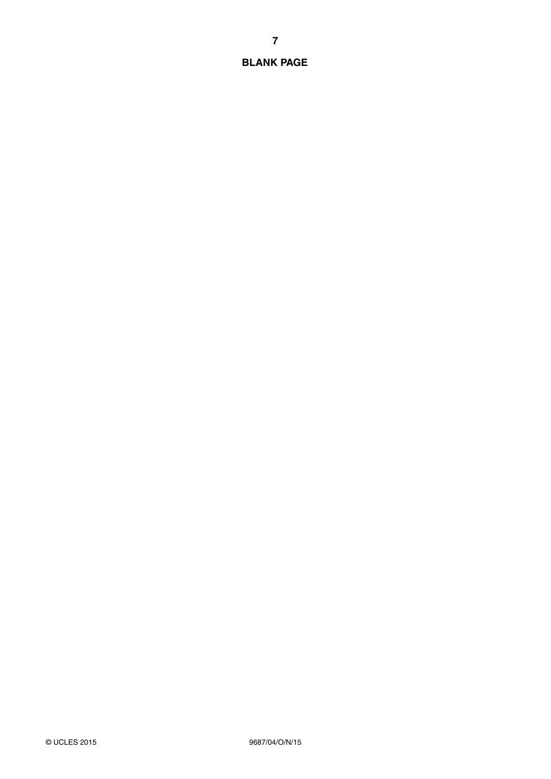## **BLANK PAGE**

**7**